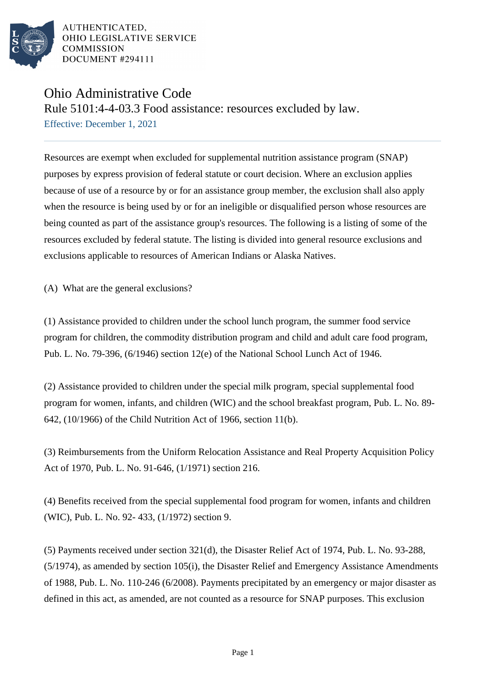

AUTHENTICATED. OHIO LEGISLATIVE SERVICE **COMMISSION DOCUMENT #294111** 

## Ohio Administrative Code

Rule 5101:4-4-03.3 Food assistance: resources excluded by law. Effective: December 1, 2021

Resources are exempt when excluded for supplemental nutrition assistance program (SNAP) purposes by express provision of federal statute or court decision. Where an exclusion applies because of use of a resource by or for an assistance group member, the exclusion shall also apply when the resource is being used by or for an ineligible or disqualified person whose resources are being counted as part of the assistance group's resources. The following is a listing of some of the resources excluded by federal statute. The listing is divided into general resource exclusions and exclusions applicable to resources of American Indians or Alaska Natives.

(A) What are the general exclusions?

(1) Assistance provided to children under the school lunch program, the summer food service program for children, the commodity distribution program and child and adult care food program, Pub. L. No. 79-396, (6/1946) section 12(e) of the National School Lunch Act of 1946.

(2) Assistance provided to children under the special milk program, special supplemental food program for women, infants, and children (WIC) and the school breakfast program, Pub. L. No. 89- 642, (10/1966) of the Child Nutrition Act of 1966, section 11(b).

(3) Reimbursements from the Uniform Relocation Assistance and Real Property Acquisition Policy Act of 1970, Pub. L. No. 91-646, (1/1971) section 216.

(4) Benefits received from the special supplemental food program for women, infants and children (WIC), Pub. L. No. 92- 433, (1/1972) section 9.

(5) Payments received under section 321(d), the Disaster Relief Act of 1974, Pub. L. No. 93-288, (5/1974), as amended by section 105(i), the Disaster Relief and Emergency Assistance Amendments of 1988, Pub. L. No. 110-246 (6/2008). Payments precipitated by an emergency or major disaster as defined in this act, as amended, are not counted as a resource for SNAP purposes. This exclusion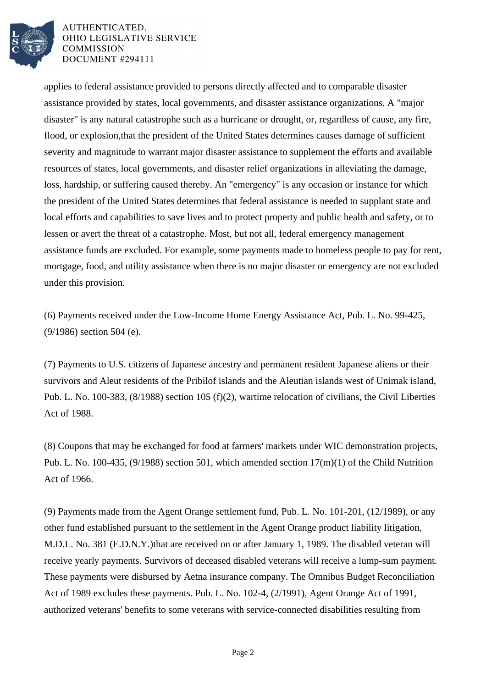

## AUTHENTICATED, OHIO LEGISLATIVE SERVICE **COMMISSION DOCUMENT #294111**

applies to federal assistance provided to persons directly affected and to comparable disaster assistance provided by states, local governments, and disaster assistance organizations. A "major disaster" is any natural catastrophe such as a hurricane or drought, or, regardless of cause, any fire, flood, or explosion,that the president of the United States determines causes damage of sufficient severity and magnitude to warrant major disaster assistance to supplement the efforts and available resources of states, local governments, and disaster relief organizations in alleviating the damage, loss, hardship, or suffering caused thereby. An "emergency" is any occasion or instance for which the president of the United States determines that federal assistance is needed to supplant state and local efforts and capabilities to save lives and to protect property and public health and safety, or to lessen or avert the threat of a catastrophe. Most, but not all, federal emergency management assistance funds are excluded. For example, some payments made to homeless people to pay for rent, mortgage, food, and utility assistance when there is no major disaster or emergency are not excluded under this provision.

(6) Payments received under the Low-Income Home Energy Assistance Act, Pub. L. No. 99-425, (9/1986) section 504 (e).

(7) Payments to U.S. citizens of Japanese ancestry and permanent resident Japanese aliens or their survivors and Aleut residents of the Pribilof islands and the Aleutian islands west of Unimak island, Pub. L. No. 100-383, (8/1988) section 105 (f)(2), wartime relocation of civilians, the Civil Liberties Act of 1988.

(8) Coupons that may be exchanged for food at farmers' markets under WIC demonstration projects, Pub. L. No. 100-435, (9/1988) section 501, which amended section 17(m)(1) of the Child Nutrition Act of 1966.

(9) Payments made from the Agent Orange settlement fund, Pub. L. No. 101-201, (12/1989), or any other fund established pursuant to the settlement in the Agent Orange product liability litigation, M.D.L. No. 381 (E.D.N.Y.)that are received on or after January 1, 1989. The disabled veteran will receive yearly payments. Survivors of deceased disabled veterans will receive a lump-sum payment. These payments were disbursed by Aetna insurance company. The Omnibus Budget Reconciliation Act of 1989 excludes these payments. Pub. L. No. 102-4, (2/1991), Agent Orange Act of 1991, authorized veterans' benefits to some veterans with service-connected disabilities resulting from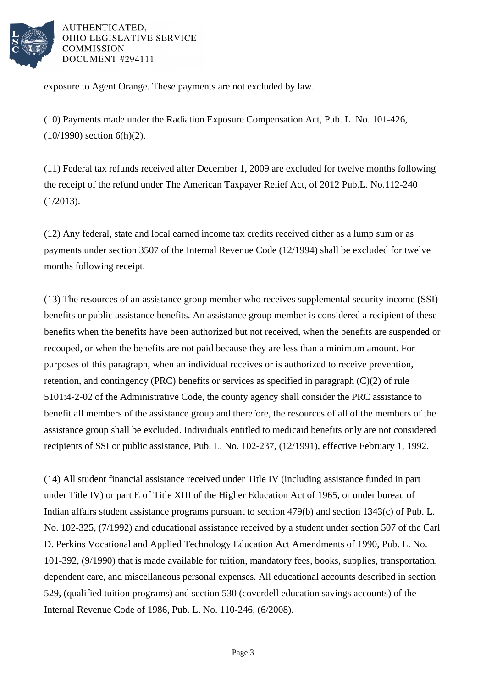

AUTHENTICATED. OHIO LEGISLATIVE SERVICE **COMMISSION DOCUMENT #294111** 

exposure to Agent Orange. These payments are not excluded by law.

(10) Payments made under the Radiation Exposure Compensation Act, Pub. L. No. 101-426, (10/1990) section 6(h)(2).

(11) Federal tax refunds received after December 1, 2009 are excluded for twelve months following the receipt of the refund under The American Taxpayer Relief Act, of 2012 Pub.L. No.112-240 (1/2013).

(12) Any federal, state and local earned income tax credits received either as a lump sum or as payments under section 3507 of the Internal Revenue Code (12/1994) shall be excluded for twelve months following receipt.

(13) The resources of an assistance group member who receives supplemental security income (SSI) benefits or public assistance benefits. An assistance group member is considered a recipient of these benefits when the benefits have been authorized but not received, when the benefits are suspended or recouped, or when the benefits are not paid because they are less than a minimum amount. For purposes of this paragraph, when an individual receives or is authorized to receive prevention, retention, and contingency (PRC) benefits or services as specified in paragraph (C)(2) of rule 5101:4-2-02 of the Administrative Code, the county agency shall consider the PRC assistance to benefit all members of the assistance group and therefore, the resources of all of the members of the assistance group shall be excluded. Individuals entitled to medicaid benefits only are not considered recipients of SSI or public assistance, Pub. L. No. 102-237, (12/1991), effective February 1, 1992.

(14) All student financial assistance received under Title IV (including assistance funded in part under Title IV) or part E of Title XIII of the Higher Education Act of 1965, or under bureau of Indian affairs student assistance programs pursuant to section 479(b) and section 1343(c) of Pub. L. No. 102-325, (7/1992) and educational assistance received by a student under section 507 of the Carl D. Perkins Vocational and Applied Technology Education Act Amendments of 1990, Pub. L. No. 101-392, (9/1990) that is made available for tuition, mandatory fees, books, supplies, transportation, dependent care, and miscellaneous personal expenses. All educational accounts described in section 529, (qualified tuition programs) and section 530 (coverdell education savings accounts) of the Internal Revenue Code of 1986, Pub. L. No. 110-246, (6/2008).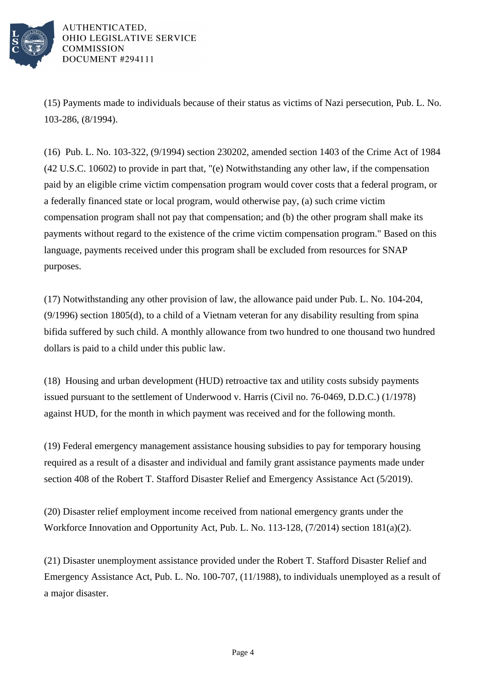

AUTHENTICATED. OHIO LEGISLATIVE SERVICE **COMMISSION DOCUMENT #294111** 

(15) Payments made to individuals because of their status as victims of Nazi persecution, Pub. L. No. 103-286, (8/1994).

(16) Pub. L. No. 103-322, (9/1994) section 230202, amended section 1403 of the Crime Act of 1984 (42 U.S.C. 10602) to provide in part that, "(e) Notwithstanding any other law, if the compensation paid by an eligible crime victim compensation program would cover costs that a federal program, or a federally financed state or local program, would otherwise pay, (a) such crime victim compensation program shall not pay that compensation; and (b) the other program shall make its payments without regard to the existence of the crime victim compensation program." Based on this language, payments received under this program shall be excluded from resources for SNAP purposes.

(17) Notwithstanding any other provision of law, the allowance paid under Pub. L. No. 104-204, (9/1996) section 1805(d), to a child of a Vietnam veteran for any disability resulting from spina bifida suffered by such child. A monthly allowance from two hundred to one thousand two hundred dollars is paid to a child under this public law.

(18) Housing and urban development (HUD) retroactive tax and utility costs subsidy payments issued pursuant to the settlement of Underwood v. Harris (Civil no. 76-0469, D.D.C.) (1/1978) against HUD, for the month in which payment was received and for the following month.

(19) Federal emergency management assistance housing subsidies to pay for temporary housing required as a result of a disaster and individual and family grant assistance payments made under section 408 of the Robert T. Stafford Disaster Relief and Emergency Assistance Act (5/2019).

(20) Disaster relief employment income received from national emergency grants under the Workforce Innovation and Opportunity Act, Pub. L. No. 113-128, (7/2014) section 181(a)(2).

(21) Disaster unemployment assistance provided under the Robert T. Stafford Disaster Relief and Emergency Assistance Act, Pub. L. No. 100-707, (11/1988), to individuals unemployed as a result of a major disaster.